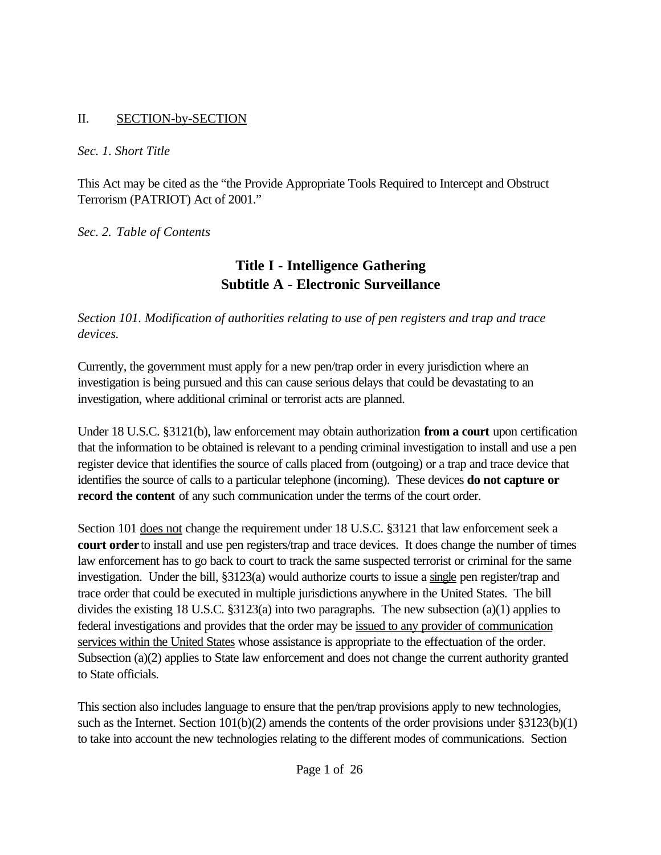#### II. SECTION-by-SECTION

#### *Sec. 1. Short Title*

This Act may be cited as the "the Provide Appropriate Tools Required to Intercept and Obstruct Terrorism (PATRIOT) Act of 2001."

*Sec. 2. Table of Contents*

## **Title I - Intelligence Gathering Subtitle A - Electronic Surveillance**

*Section 101. Modification of authorities relating to use of pen registers and trap and trace devices.*

Currently, the government must apply for a new pen/trap order in every jurisdiction where an investigation is being pursued and this can cause serious delays that could be devastating to an investigation, where additional criminal or terrorist acts are planned.

Under 18 U.S.C. §3121(b), law enforcement may obtain authorization **from a court** upon certification that the information to be obtained is relevant to a pending criminal investigation to install and use a pen register device that identifies the source of calls placed from (outgoing) or a trap and trace device that identifies the source of calls to a particular telephone (incoming). These devices **do not capture or record the content** of any such communication under the terms of the court order.

Section 101 does not change the requirement under 18 U.S.C. §3121 that law enforcement seek a **court order** to install and use pen registers/trap and trace devices. It does change the number of times law enforcement has to go back to court to track the same suspected terrorist or criminal for the same investigation. Under the bill, §3123(a) would authorize courts to issue a single pen register/trap and trace order that could be executed in multiple jurisdictions anywhere in the United States. The bill divides the existing 18 U.S.C.  $\S 3123(a)$  into two paragraphs. The new subsection  $(a)(1)$  applies to federal investigations and provides that the order may be issued to any provider of communication services within the United States whose assistance is appropriate to the effectuation of the order. Subsection (a)(2) applies to State law enforcement and does not change the current authority granted to State officials.

This section also includes language to ensure that the pen/trap provisions apply to new technologies, such as the Internet. Section 101(b)(2) amends the contents of the order provisions under §3123(b)(1) to take into account the new technologies relating to the different modes of communications. Section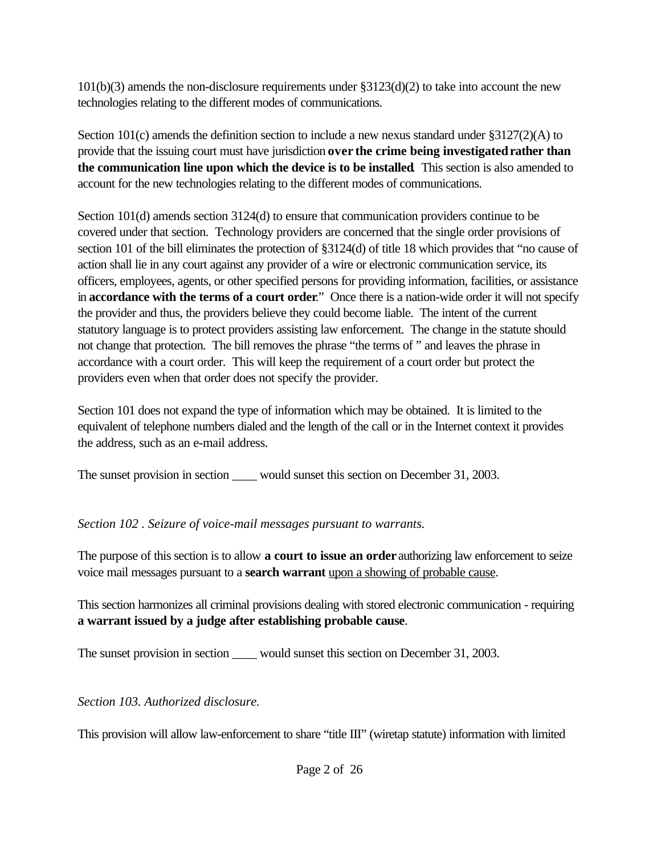$101(b)(3)$  amends the non-disclosure requirements under  $\S 3123(d)(2)$  to take into account the new technologies relating to the different modes of communications.

Section 101(c) amends the definition section to include a new nexus standard under  $\S3127(2)(A)$  to provide that the issuing court must have jurisdiction **over the crime being investigatedrather than the communication line upon which the device is to be installed**. This section is also amended to account for the new technologies relating to the different modes of communications.

Section 101(d) amends section 3124(d) to ensure that communication providers continue to be covered under that section. Technology providers are concerned that the single order provisions of section 101 of the bill eliminates the protection of §3124(d) of title 18 which provides that "no cause of action shall lie in any court against any provider of a wire or electronic communication service, its officers, employees, agents, or other specified persons for providing information, facilities, or assistance in **accordance with the terms of a court order**." Once there is a nation-wide order it will not specify the provider and thus, the providers believe they could become liable. The intent of the current statutory language is to protect providers assisting law enforcement. The change in the statute should not change that protection. The bill removes the phrase "the terms of " and leaves the phrase in accordance with a court order. This will keep the requirement of a court order but protect the providers even when that order does not specify the provider.

Section 101 does not expand the type of information which may be obtained. It is limited to the equivalent of telephone numbers dialed and the length of the call or in the Internet context it provides the address, such as an e-mail address.

The sunset provision in section would sunset this section on December 31, 2003.

### *Section 102 . Seizure of voice-mail messages pursuant to warrants.*

The purpose of this section is to allow **a court to issue an order** authorizing law enforcement to seize voice mail messages pursuant to a **search warrant** upon a showing of probable cause.

This section harmonizes all criminal provisions dealing with stored electronic communication - requiring **a warrant issued by a judge after establishing probable cause**.

The sunset provision in section \_\_\_\_\_ would sunset this section on December 31, 2003.

*Section 103. Authorized disclosure.*

This provision will allow law-enforcement to share "title III" (wiretap statute) information with limited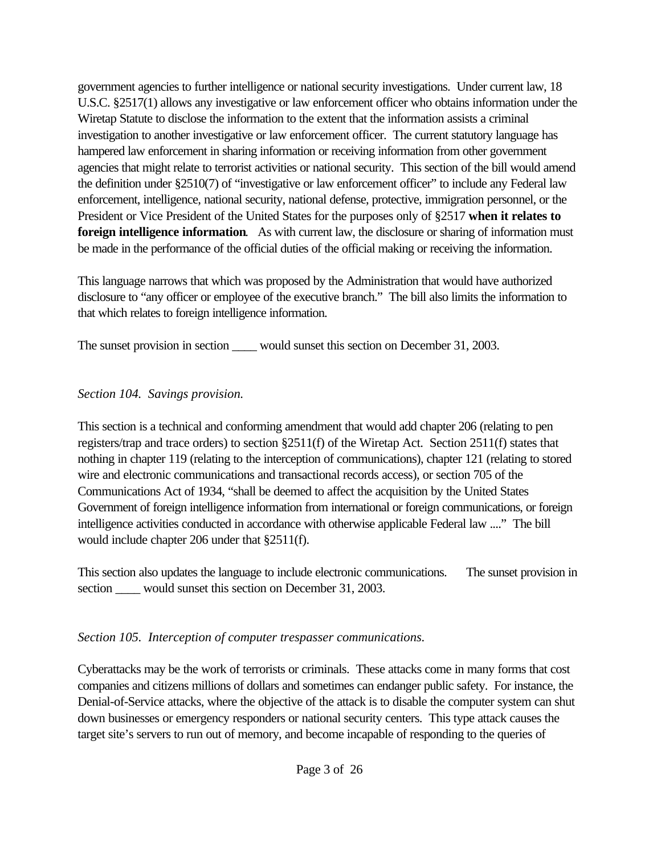government agencies to further intelligence or national security investigations. Under current law, 18 U.S.C. §2517(1) allows any investigative or law enforcement officer who obtains information under the Wiretap Statute to disclose the information to the extent that the information assists a criminal investigation to another investigative or law enforcement officer. The current statutory language has hampered law enforcement in sharing information or receiving information from other government agencies that might relate to terrorist activities or national security. This section of the bill would amend the definition under §2510(7) of "investigative or law enforcement officer" to include any Federal law enforcement, intelligence, national security, national defense, protective, immigration personnel, or the President or Vice President of the United States for the purposes only of §2517 **when it relates to foreign intelligence information.** As with current law, the disclosure or sharing of information must be made in the performance of the official duties of the official making or receiving the information.

This language narrows that which was proposed by the Administration that would have authorized disclosure to "any officer or employee of the executive branch." The bill also limits the information to that which relates to foreign intelligence information.

The sunset provision in section would sunset this section on December 31, 2003.

### *Section 104. Savings provision.*

This section is a technical and conforming amendment that would add chapter 206 (relating to pen registers/trap and trace orders) to section §2511(f) of the Wiretap Act. Section 2511(f) states that nothing in chapter 119 (relating to the interception of communications), chapter 121 (relating to stored wire and electronic communications and transactional records access), or section 705 of the Communications Act of 1934, "shall be deemed to affect the acquisition by the United States Government of foreign intelligence information from international or foreign communications, or foreign intelligence activities conducted in accordance with otherwise applicable Federal law ...." The bill would include chapter 206 under that §2511(f).

This section also updates the language to include electronic communications. The sunset provision in section would sunset this section on December 31, 2003.

### *Section 105. Interception of computer trespasser communications.*

Cyberattacks may be the work of terrorists or criminals. These attacks come in many forms that cost companies and citizens millions of dollars and sometimes can endanger public safety. For instance, the Denial-of-Service attacks, where the objective of the attack is to disable the computer system can shut down businesses or emergency responders or national security centers. This type attack causes the target site's servers to run out of memory, and become incapable of responding to the queries of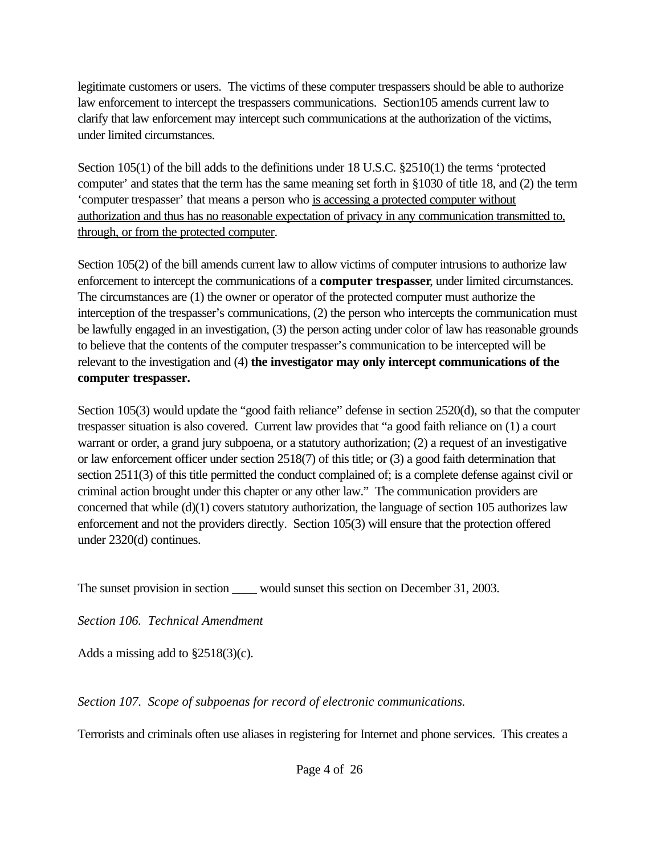legitimate customers or users. The victims of these computer trespassers should be able to authorize law enforcement to intercept the trespassers communications. Section105 amends current law to clarify that law enforcement may intercept such communications at the authorization of the victims, under limited circumstances.

Section 105(1) of the bill adds to the definitions under 18 U.S.C. §2510(1) the terms 'protected computer' and states that the term has the same meaning set forth in §1030 of title 18, and (2) the term 'computer trespasser' that means a person who is accessing a protected computer without authorization and thus has no reasonable expectation of privacy in any communication transmitted to, through, or from the protected computer.

Section 105(2) of the bill amends current law to allow victims of computer intrusions to authorize law enforcement to intercept the communications of a **computer trespasser**, under limited circumstances. The circumstances are (1) the owner or operator of the protected computer must authorize the interception of the trespasser's communications, (2) the person who intercepts the communication must be lawfully engaged in an investigation, (3) the person acting under color of law has reasonable grounds to believe that the contents of the computer trespasser's communication to be intercepted will be relevant to the investigation and (4) **the investigator may only intercept communications of the computer trespasser.**

Section 105(3) would update the "good faith reliance" defense in section 2520(d), so that the computer trespasser situation is also covered. Current law provides that "a good faith reliance on (1) a court warrant or order, a grand jury subpoena, or a statutory authorization; (2) a request of an investigative or law enforcement officer under section 2518(7) of this title; or (3) a good faith determination that section 2511(3) of this title permitted the conduct complained of; is a complete defense against civil or criminal action brought under this chapter or any other law." The communication providers are concerned that while  $(d)(1)$  covers statutory authorization, the language of section 105 authorizes law enforcement and not the providers directly. Section 105(3) will ensure that the protection offered under 2320(d) continues.

The sunset provision in section would sunset this section on December 31, 2003.

*Section 106. Technical Amendment*

Adds a missing add to §2518(3)(c).

*Section 107. Scope of subpoenas for record of electronic communications.*

Terrorists and criminals often use aliases in registering for Internet and phone services. This creates a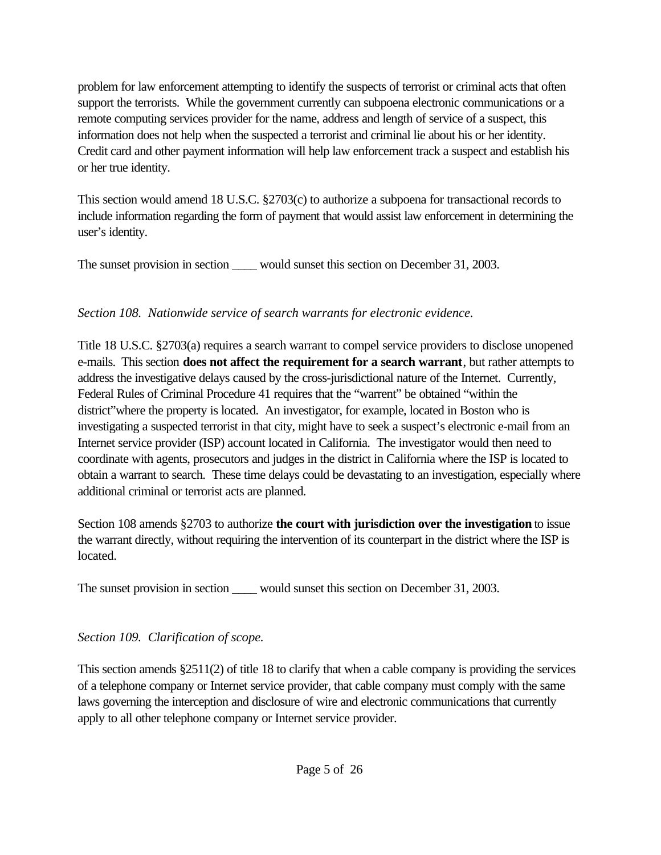problem for law enforcement attempting to identify the suspects of terrorist or criminal acts that often support the terrorists. While the government currently can subpoena electronic communications or a remote computing services provider for the name, address and length of service of a suspect, this information does not help when the suspected a terrorist and criminal lie about his or her identity. Credit card and other payment information will help law enforcement track a suspect and establish his or her true identity.

This section would amend 18 U.S.C. §2703(c) to authorize a subpoena for transactional records to include information regarding the form of payment that would assist law enforcement in determining the user's identity.

The sunset provision in section \_\_\_\_ would sunset this section on December 31, 2003.

### *Section 108. Nationwide service of search warrants for electronic evidence.*

Title 18 U.S.C. §2703(a) requires a search warrant to compel service providers to disclose unopened e-mails. This section **does not affect the requirement for a search warrant**, but rather attempts to address the investigative delays caused by the cross-jurisdictional nature of the Internet. Currently, Federal Rules of Criminal Procedure 41 requires that the "warrent" be obtained "within the district"where the property is located. An investigator, for example, located in Boston who is investigating a suspected terrorist in that city, might have to seek a suspect's electronic e-mail from an Internet service provider (ISP) account located in California. The investigator would then need to coordinate with agents, prosecutors and judges in the district in California where the ISP is located to obtain a warrant to search. These time delays could be devastating to an investigation, especially where additional criminal or terrorist acts are planned.

Section 108 amends §2703 to authorize **the court with jurisdiction over the investigation** to issue the warrant directly, without requiring the intervention of its counterpart in the district where the ISP is located.

The sunset provision in section would sunset this section on December 31, 2003.

### *Section 109. Clarification of scope.*

This section amends  $\S 2511(2)$  of title 18 to clarify that when a cable company is providing the services of a telephone company or Internet service provider, that cable company must comply with the same laws governing the interception and disclosure of wire and electronic communications that currently apply to all other telephone company or Internet service provider.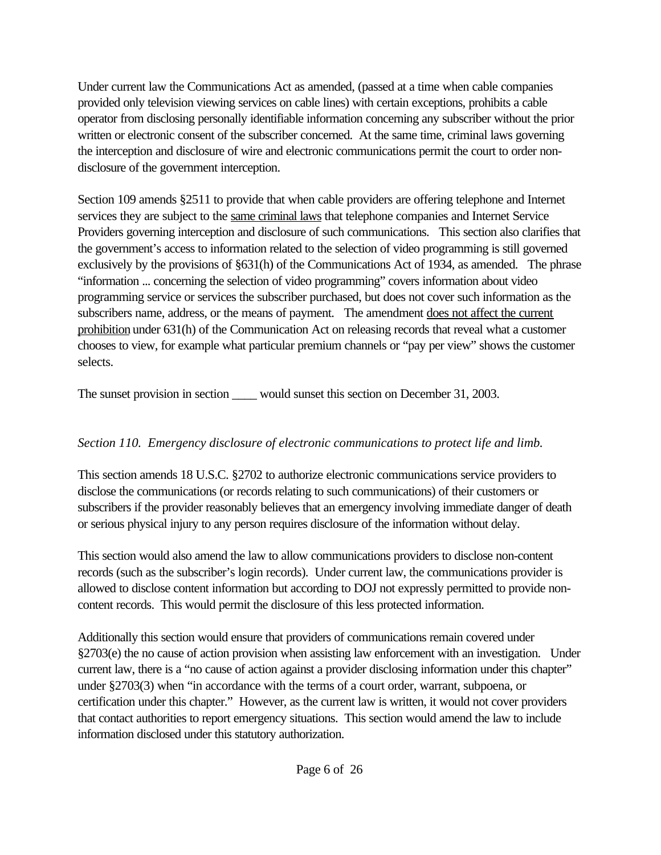Under current law the Communications Act as amended, (passed at a time when cable companies provided only television viewing services on cable lines) with certain exceptions, prohibits a cable operator from disclosing personally identifiable information concerning any subscriber without the prior written or electronic consent of the subscriber concerned. At the same time, criminal laws governing the interception and disclosure of wire and electronic communications permit the court to order nondisclosure of the government interception.

Section 109 amends §2511 to provide that when cable providers are offering telephone and Internet services they are subject to the same criminal laws that telephone companies and Internet Service Providers governing interception and disclosure of such communications. This section also clarifies that the government's access to information related to the selection of video programming is still governed exclusively by the provisions of §631(h) of the Communications Act of 1934, as amended. The phrase "information ... concerning the selection of video programming" covers information about video programming service or services the subscriber purchased, but does not cover such information as the subscribers name, address, or the means of payment. The amendment does not affect the current prohibition under 631(h) of the Communication Act on releasing records that reveal what a customer chooses to view, for example what particular premium channels or "pay per view" shows the customer selects.

The sunset provision in section \_\_\_\_\_ would sunset this section on December 31, 2003.

## *Section 110. Emergency disclosure of electronic communications to protect life and limb.*

This section amends 18 U.S.C. §2702 to authorize electronic communications service providers to disclose the communications (or records relating to such communications) of their customers or subscribers if the provider reasonably believes that an emergency involving immediate danger of death or serious physical injury to any person requires disclosure of the information without delay.

This section would also amend the law to allow communications providers to disclose non-content records (such as the subscriber's login records). Under current law, the communications provider is allowed to disclose content information but according to DOJ not expressly permitted to provide noncontent records. This would permit the disclosure of this less protected information.

Additionally this section would ensure that providers of communications remain covered under §2703(e) the no cause of action provision when assisting law enforcement with an investigation. Under current law, there is a "no cause of action against a provider disclosing information under this chapter" under §2703(3) when "in accordance with the terms of a court order, warrant, subpoena, or certification under this chapter." However, as the current law is written, it would not cover providers that contact authorities to report emergency situations. This section would amend the law to include information disclosed under this statutory authorization.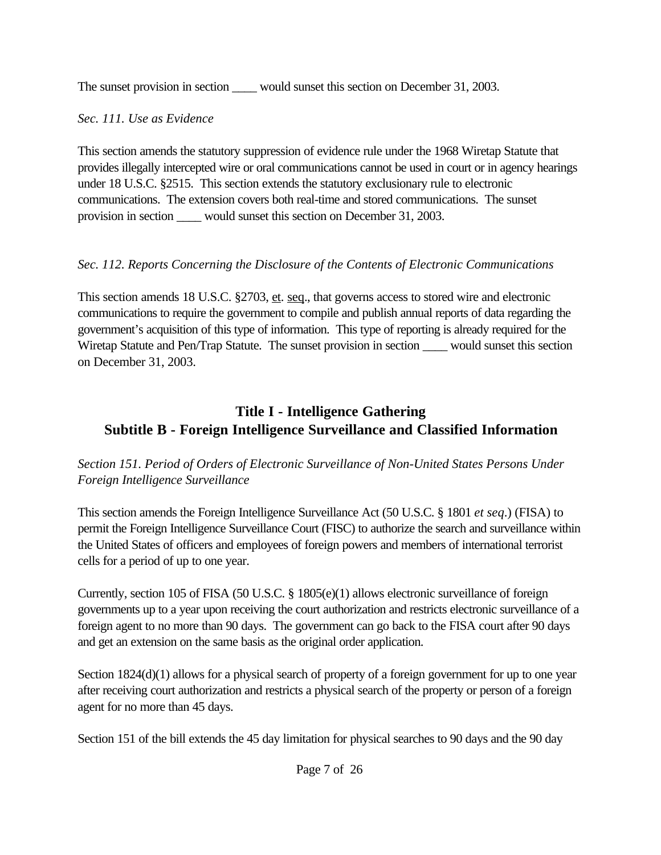The sunset provision in section \_\_\_\_\_ would sunset this section on December 31, 2003.

### *Sec. 111. Use as Evidence*

This section amends the statutory suppression of evidence rule under the 1968 Wiretap Statute that provides illegally intercepted wire or oral communications cannot be used in court or in agency hearings under 18 U.S.C. §2515. This section extends the statutory exclusionary rule to electronic communications. The extension covers both real-time and stored communications. The sunset provision in section would sunset this section on December 31, 2003.

## *Sec. 112. Reports Concerning the Disclosure of the Contents of Electronic Communications*

This section amends 18 U.S.C. §2703, et. seq., that governs access to stored wire and electronic communications to require the government to compile and publish annual reports of data regarding the government's acquisition of this type of information. This type of reporting is already required for the Wiretap Statute and Pen/Trap Statute. The sunset provision in section \_\_\_\_\_ would sunset this section on December 31, 2003.

# **Title I - Intelligence Gathering Subtitle B - Foreign Intelligence Surveillance and Classified Information**

### *Section 151. Period of Orders of Electronic Surveillance of Non-United States Persons Under Foreign Intelligence Surveillance*

This section amends the Foreign Intelligence Surveillance Act (50 U.S.C. § 1801 *et seq*.) (FISA) to permit the Foreign Intelligence Surveillance Court (FISC) to authorize the search and surveillance within the United States of officers and employees of foreign powers and members of international terrorist cells for a period of up to one year.

Currently, section 105 of FISA (50 U.S.C. § 1805(e)(1) allows electronic surveillance of foreign governments up to a year upon receiving the court authorization and restricts electronic surveillance of a foreign agent to no more than 90 days. The government can go back to the FISA court after 90 days and get an extension on the same basis as the original order application.

Section 1824(d)(1) allows for a physical search of property of a foreign government for up to one year after receiving court authorization and restricts a physical search of the property or person of a foreign agent for no more than 45 days.

Section 151 of the bill extends the 45 day limitation for physical searches to 90 days and the 90 day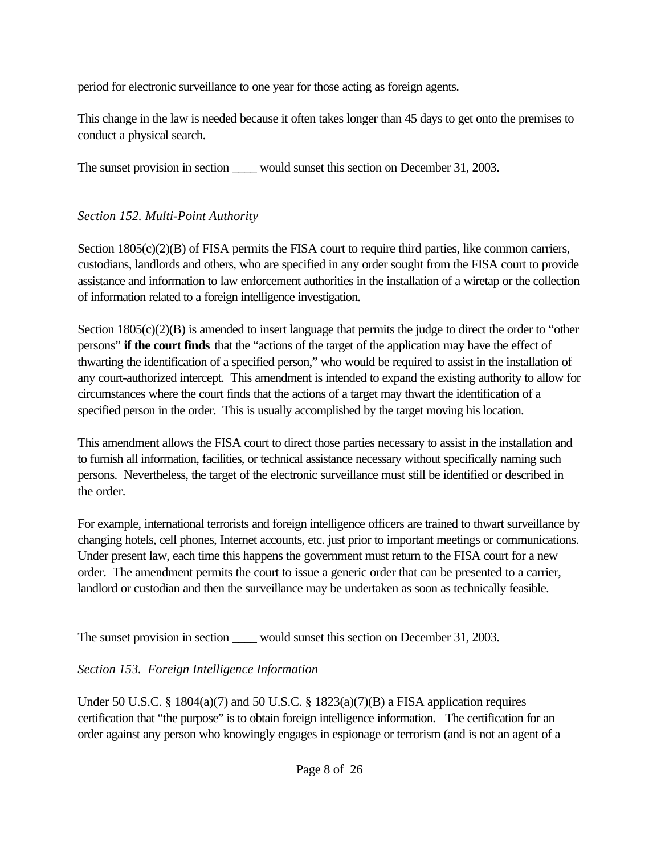period for electronic surveillance to one year for those acting as foreign agents.

This change in the law is needed because it often takes longer than 45 days to get onto the premises to conduct a physical search.

The sunset provision in section would sunset this section on December 31, 2003.

## *Section 152. Multi-Point Authority*

Section 1805(c)(2)(B) of FISA permits the FISA court to require third parties, like common carriers, custodians, landlords and others, who are specified in any order sought from the FISA court to provide assistance and information to law enforcement authorities in the installation of a wiretap or the collection of information related to a foreign intelligence investigation.

Section 1805(c)(2)(B) is amended to insert language that permits the judge to direct the order to "other persons" **if the court finds** that the "actions of the target of the application may have the effect of thwarting the identification of a specified person," who would be required to assist in the installation of any court-authorized intercept. This amendment is intended to expand the existing authority to allow for circumstances where the court finds that the actions of a target may thwart the identification of a specified person in the order. This is usually accomplished by the target moving his location.

This amendment allows the FISA court to direct those parties necessary to assist in the installation and to furnish all information, facilities, or technical assistance necessary without specifically naming such persons. Nevertheless, the target of the electronic surveillance must still be identified or described in the order.

For example, international terrorists and foreign intelligence officers are trained to thwart surveillance by changing hotels, cell phones, Internet accounts, etc. just prior to important meetings or communications. Under present law, each time this happens the government must return to the FISA court for a new order. The amendment permits the court to issue a generic order that can be presented to a carrier, landlord or custodian and then the surveillance may be undertaken as soon as technically feasible.

The sunset provision in section would sunset this section on December 31, 2003.

## *Section 153. Foreign Intelligence Information*

Under 50 U.S.C. § 1804(a)(7) and 50 U.S.C. § 1823(a)(7)(B) a FISA application requires certification that "the purpose" is to obtain foreign intelligence information. The certification for an order against any person who knowingly engages in espionage or terrorism (and is not an agent of a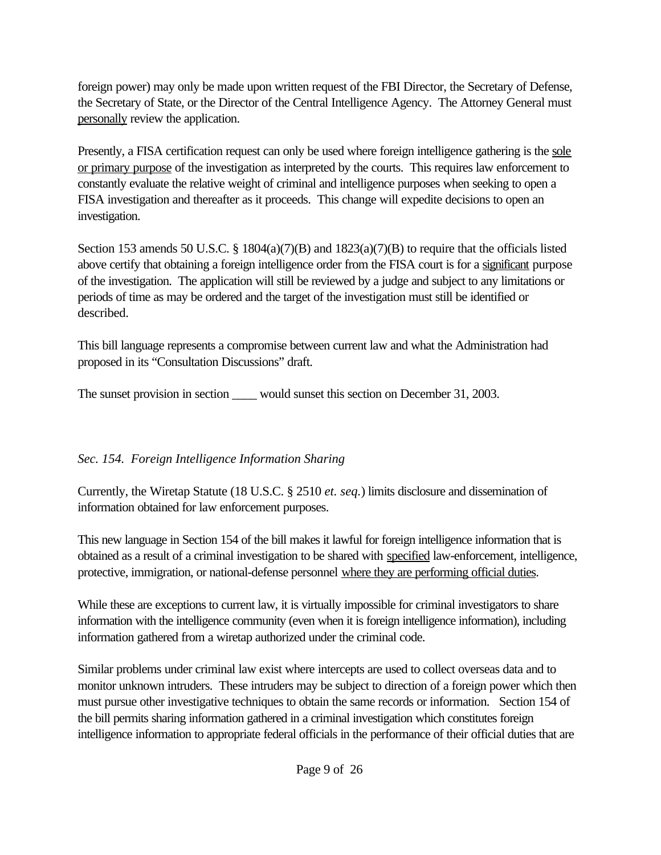foreign power) may only be made upon written request of the FBI Director, the Secretary of Defense, the Secretary of State, or the Director of the Central Intelligence Agency. The Attorney General must personally review the application.

Presently, a FISA certification request can only be used where foreign intelligence gathering is the sole or primary purpose of the investigation as interpreted by the courts. This requires law enforcement to constantly evaluate the relative weight of criminal and intelligence purposes when seeking to open a FISA investigation and thereafter as it proceeds. This change will expedite decisions to open an investigation.

Section 153 amends 50 U.S.C. § 1804(a)(7)(B) and 1823(a)(7)(B) to require that the officials listed above certify that obtaining a foreign intelligence order from the FISA court is for a significant purpose of the investigation. The application will still be reviewed by a judge and subject to any limitations or periods of time as may be ordered and the target of the investigation must still be identified or described.

This bill language represents a compromise between current law and what the Administration had proposed in its "Consultation Discussions" draft.

The sunset provision in section \_\_\_\_\_ would sunset this section on December 31, 2003.

## *Sec. 154. Foreign Intelligence Information Sharing*

Currently, the Wiretap Statute (18 U.S.C. § 2510 *et. seq.*) limits disclosure and dissemination of information obtained for law enforcement purposes.

This new language in Section 154 of the bill makes it lawful for foreign intelligence information that is obtained as a result of a criminal investigation to be shared with specified law-enforcement, intelligence, protective, immigration, or national-defense personnel where they are performing official duties.

While these are exceptions to current law, it is virtually impossible for criminal investigators to share information with the intelligence community (even when it is foreign intelligence information), including information gathered from a wiretap authorized under the criminal code.

Similar problems under criminal law exist where intercepts are used to collect overseas data and to monitor unknown intruders. These intruders may be subject to direction of a foreign power which then must pursue other investigative techniques to obtain the same records or information. Section 154 of the bill permits sharing information gathered in a criminal investigation which constitutes foreign intelligence information to appropriate federal officials in the performance of their official duties that are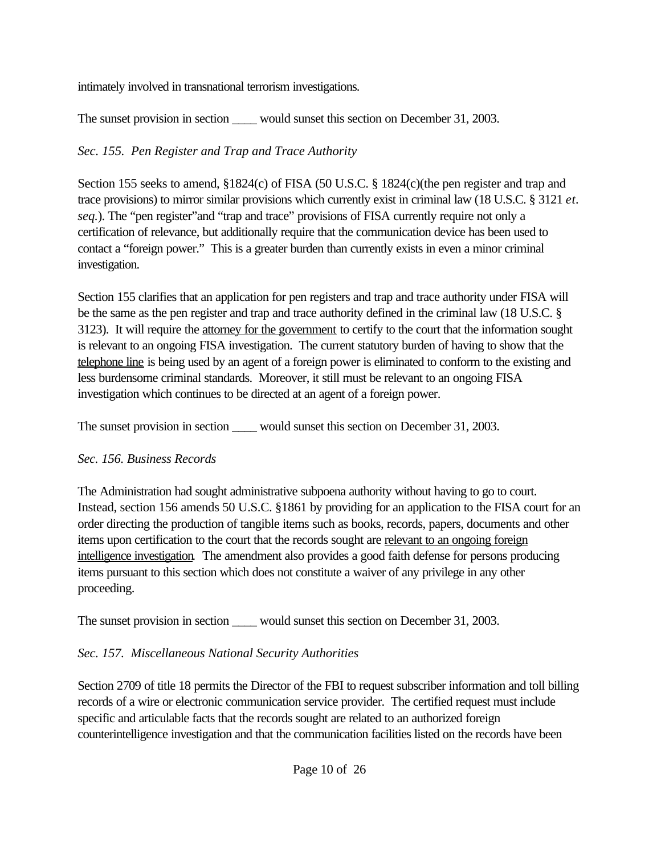intimately involved in transnational terrorism investigations.

The sunset provision in section \_\_\_\_\_ would sunset this section on December 31, 2003.

## *Sec. 155. Pen Register and Trap and Trace Authority*

Section 155 seeks to amend, §1824(c) of FISA (50 U.S.C. § 1824(c)(the pen register and trap and trace provisions) to mirror similar provisions which currently exist in criminal law (18 U.S.C. § 3121 *et. seq.*). The "pen register"and "trap and trace" provisions of FISA currently require not only a certification of relevance, but additionally require that the communication device has been used to contact a "foreign power." This is a greater burden than currently exists in even a minor criminal investigation.

Section 155 clarifies that an application for pen registers and trap and trace authority under FISA will be the same as the pen register and trap and trace authority defined in the criminal law (18 U.S.C. § 3123). It will require the attorney for the government to certify to the court that the information sought is relevant to an ongoing FISA investigation. The current statutory burden of having to show that the telephone line is being used by an agent of a foreign power is eliminated to conform to the existing and less burdensome criminal standards. Moreover, it still must be relevant to an ongoing FISA investigation which continues to be directed at an agent of a foreign power.

The sunset provision in section \_\_\_\_\_ would sunset this section on December 31, 2003.

## *Sec. 156. Business Records*

The Administration had sought administrative subpoena authority without having to go to court. Instead, section 156 amends 50 U.S.C. §1861 by providing for an application to the FISA court for an order directing the production of tangible items such as books, records, papers, documents and other items upon certification to the court that the records sought are relevant to an ongoing foreign intelligence investigation*.* The amendment also provides a good faith defense for persons producing items pursuant to this section which does not constitute a waiver of any privilege in any other proceeding.

The sunset provision in section \_\_\_\_\_ would sunset this section on December 31, 2003.

## *Sec. 157. Miscellaneous National Security Authorities*

Section 2709 of title 18 permits the Director of the FBI to request subscriber information and toll billing records of a wire or electronic communication service provider. The certified request must include specific and articulable facts that the records sought are related to an authorized foreign counterintelligence investigation and that the communication facilities listed on the records have been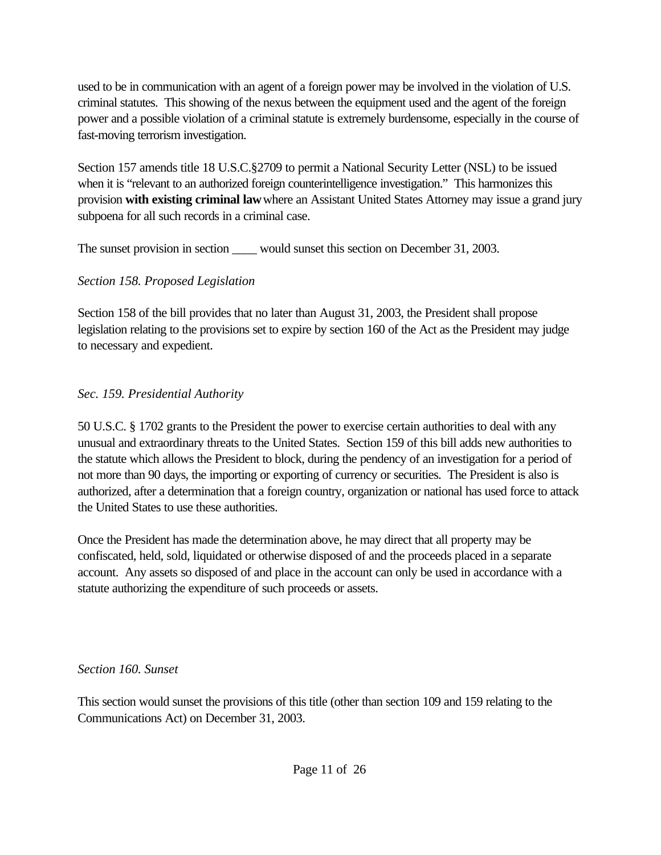used to be in communication with an agent of a foreign power may be involved in the violation of U.S. criminal statutes.This showing of the nexus between the equipment used and the agent of the foreign power and a possible violation of a criminal statute is extremely burdensome, especially in the course of fast-moving terrorism investigation.

Section 157 amends title 18 U.S.C.§2709 to permit a National Security Letter (NSL) to be issued when it is "relevant to an authorized foreign counterintelligence investigation." This harmonizes this provision **with existing criminal law** where an Assistant United States Attorney may issue a grand jury subpoena for all such records in a criminal case.

The sunset provision in section \_\_\_\_\_ would sunset this section on December 31, 2003.

### *Section 158. Proposed Legislation*

Section 158 of the bill provides that no later than August 31, 2003, the President shall propose legislation relating to the provisions set to expire by section 160 of the Act as the President may judge to necessary and expedient.

## *Sec. 159. Presidential Authority*

50 U.S.C. § 1702 grants to the President the power to exercise certain authorities to deal with any unusual and extraordinary threats to the United States. Section 159 of this bill adds new authorities to the statute which allows the President to block, during the pendency of an investigation for a period of not more than 90 days, the importing or exporting of currency or securities. The President is also is authorized, after a determination that a foreign country, organization or national has used force to attack the United States to use these authorities.

Once the President has made the determination above, he may direct that all property may be confiscated, held, sold, liquidated or otherwise disposed of and the proceeds placed in a separate account. Any assets so disposed of and place in the account can only be used in accordance with a statute authorizing the expenditure of such proceeds or assets.

### *Section 160. Sunset*

This section would sunset the provisions of this title (other than section 109 and 159 relating to the Communications Act) on December 31, 2003.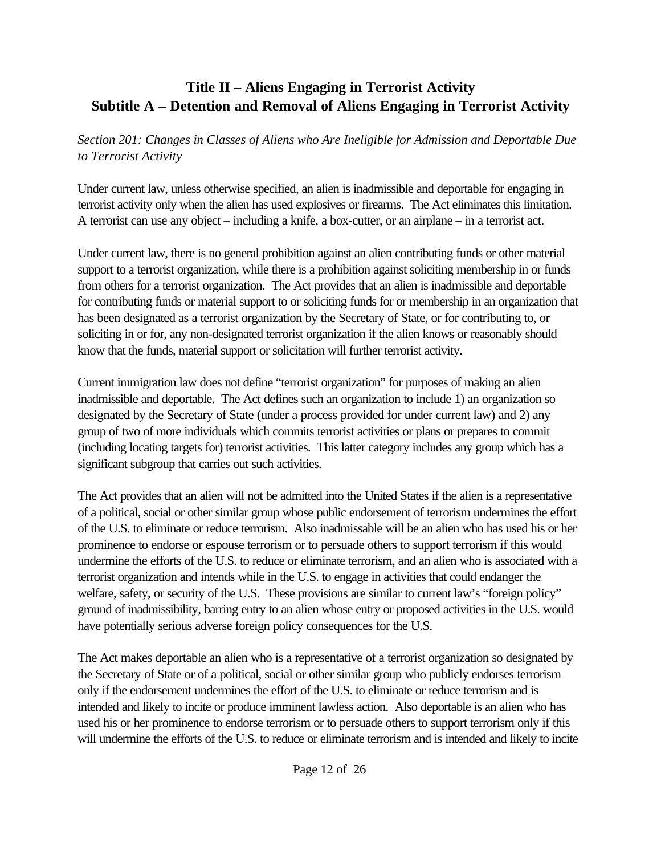## **Title II – Aliens Engaging in Terrorist Activity Subtitle A – Detention and Removal of Aliens Engaging in Terrorist Activity**

*Section 201: Changes in Classes of Aliens who Are Ineligible for Admission and Deportable Due to Terrorist Activity*

Under current law, unless otherwise specified, an alien is inadmissible and deportable for engaging in terrorist activity only when the alien has used explosives or firearms. The Act eliminates this limitation. A terrorist can use any object – including a knife, a box-cutter, or an airplane – in a terrorist act.

Under current law, there is no general prohibition against an alien contributing funds or other material support to a terrorist organization, while there is a prohibition against soliciting membership in or funds from others for a terrorist organization. The Act provides that an alien is inadmissible and deportable for contributing funds or material support to or soliciting funds for or membership in an organization that has been designated as a terrorist organization by the Secretary of State, or for contributing to, or soliciting in or for, any non-designated terrorist organization if the alien knows or reasonably should know that the funds, material support or solicitation will further terrorist activity.

Current immigration law does not define "terrorist organization" for purposes of making an alien inadmissible and deportable. The Act defines such an organization to include 1) an organization so designated by the Secretary of State (under a process provided for under current law) and 2) any group of two of more individuals which commits terrorist activities or plans or prepares to commit (including locating targets for) terrorist activities. This latter category includes any group which has a significant subgroup that carries out such activities.

The Act provides that an alien will not be admitted into the United States if the alien is a representative of a political, social or other similar group whose public endorsement of terrorism undermines the effort of the U.S. to eliminate or reduce terrorism. Also inadmissable will be an alien who has used his or her prominence to endorse or espouse terrorism or to persuade others to support terrorism if this would undermine the efforts of the U.S. to reduce or eliminate terrorism, and an alien who is associated with a terrorist organization and intends while in the U.S. to engage in activities that could endanger the welfare, safety, or security of the U.S. These provisions are similar to current law's "foreign policy" ground of inadmissibility, barring entry to an alien whose entry or proposed activities in the U.S. would have potentially serious adverse foreign policy consequences for the U.S.

The Act makes deportable an alien who is a representative of a terrorist organization so designated by the Secretary of State or of a political, social or other similar group who publicly endorses terrorism only if the endorsement undermines the effort of the U.S. to eliminate or reduce terrorism and is intended and likely to incite or produce imminent lawless action. Also deportable is an alien who has used his or her prominence to endorse terrorism or to persuade others to support terrorism only if this will undermine the efforts of the U.S. to reduce or eliminate terrorism and is intended and likely to incite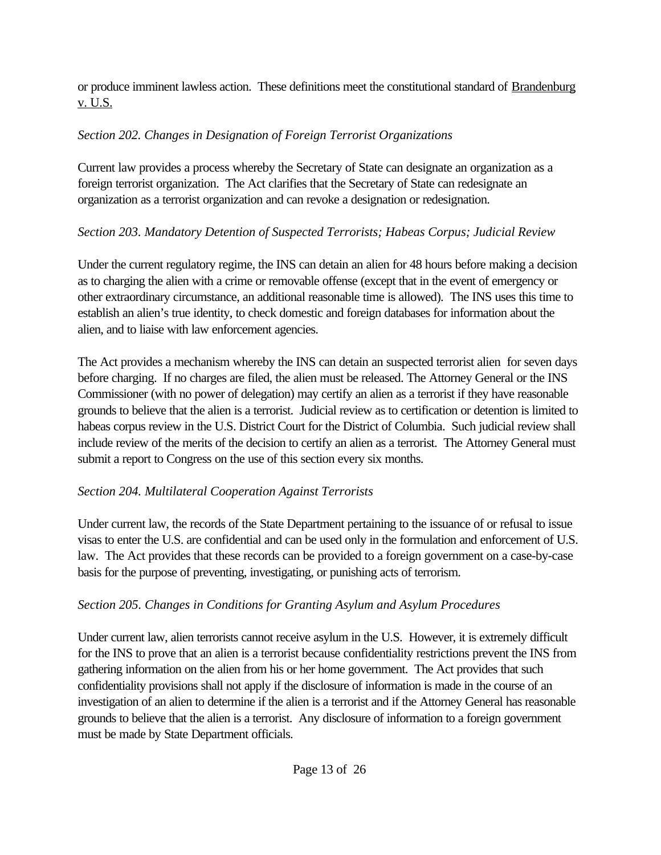or produce imminent lawless action. These definitions meet the constitutional standard of Brandenburg v. U.S.

## *Section 202. Changes in Designation of Foreign Terrorist Organizations*

Current law provides a process whereby the Secretary of State can designate an organization as a foreign terrorist organization. The Act clarifies that the Secretary of State can redesignate an organization as a terrorist organization and can revoke a designation or redesignation.

## *Section 203. Mandatory Detention of Suspected Terrorists; Habeas Corpus; Judicial Review*

Under the current regulatory regime, the INS can detain an alien for 48 hours before making a decision as to charging the alien with a crime or removable offense (except that in the event of emergency or other extraordinary circumstance, an additional reasonable time is allowed). The INS uses this time to establish an alien's true identity, to check domestic and foreign databases for information about the alien, and to liaise with law enforcement agencies.

The Act provides a mechanism whereby the INS can detain an suspected terrorist alien for seven days before charging. If no charges are filed, the alien must be released. The Attorney General or the INS Commissioner (with no power of delegation) may certify an alien as a terrorist if they have reasonable grounds to believe that the alien is a terrorist. Judicial review as to certification or detention is limited to habeas corpus review in the U.S. District Court for the District of Columbia. Such judicial review shall include review of the merits of the decision to certify an alien as a terrorist. The Attorney General must submit a report to Congress on the use of this section every six months.

## *Section 204. Multilateral Cooperation Against Terrorists*

Under current law, the records of the State Department pertaining to the issuance of or refusal to issue visas to enter the U.S. are confidential and can be used only in the formulation and enforcement of U.S. law. The Act provides that these records can be provided to a foreign government on a case-by-case basis for the purpose of preventing, investigating, or punishing acts of terrorism.

## *Section 205. Changes in Conditions for Granting Asylum and Asylum Procedures*

Under current law, alien terrorists cannot receive asylum in the U.S. However, it is extremely difficult for the INS to prove that an alien is a terrorist because confidentiality restrictions prevent the INS from gathering information on the alien from his or her home government. The Act provides that such confidentiality provisions shall not apply if the disclosure of information is made in the course of an investigation of an alien to determine if the alien is a terrorist and if the Attorney General has reasonable grounds to believe that the alien is a terrorist. Any disclosure of information to a foreign government must be made by State Department officials.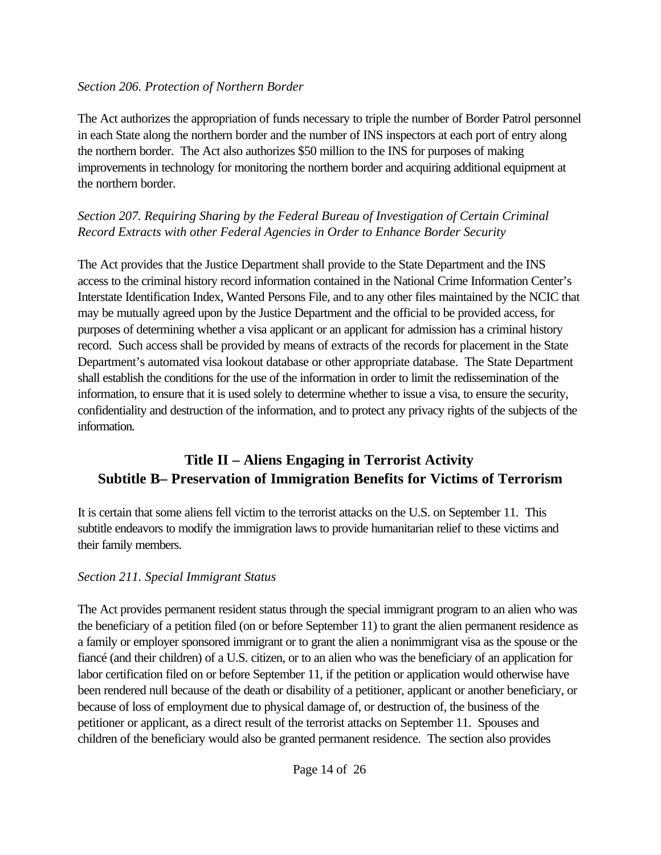#### *Section 206. Protection of Northern Border*

The Act authorizes the appropriation of funds necessary to triple the number of Border Patrol personnel in each State along the northern border and the number of INS inspectors at each port of entry along the northern border. The Act also authorizes \$50 million to the INS for purposes of making improvements in technology for monitoring the northern border and acquiring additional equipment at the northern border.

### *Section 207. Requiring Sharing by the Federal Bureau of Investigation of Certain Criminal Record Extracts with other Federal Agencies in Order to Enhance Border Security*

The Act provides that the Justice Department shall provide to the State Department and the INS access to the criminal history record information contained in the National Crime Information Center's Interstate Identification Index, Wanted Persons File, and to any other files maintained by the NCIC that may be mutually agreed upon by the Justice Department and the official to be provided access, for purposes of determining whether a visa applicant or an applicant for admission has a criminal history record. Such access shall be provided by means of extracts of the records for placement in the State Department's automated visa lookout database or other appropriate database. The State Department shall establish the conditions for the use of the information in order to limit the redissemination of the information, to ensure that it is used solely to determine whether to issue a visa, to ensure the security, confidentiality and destruction of the information, and to protect any privacy rights of the subjects of the information.

# **Title II – Aliens Engaging in Terrorist Activity Subtitle B– Preservation of Immigration Benefits for Victims of Terrorism**

It is certain that some aliens fell victim to the terrorist attacks on the U.S. on September 11. This subtitle endeavors to modify the immigration laws to provide humanitarian relief to these victims and their family members.

### *Section 211. Special Immigrant Status*

The Act provides permanent resident status through the special immigrant program to an alien who was the beneficiary of a petition filed (on or before September 11) to grant the alien permanent residence as a family or employer sponsored immigrant or to grant the alien a nonimmigrant visa as the spouse or the fiancé (and their children) of a U.S. citizen, or to an alien who was the beneficiary of an application for labor certification filed on or before September 11, if the petition or application would otherwise have been rendered null because of the death or disability of a petitioner, applicant or another beneficiary, or because of loss of employment due to physical damage of, or destruction of, the business of the petitioner or applicant, as a direct result of the terrorist attacks on September 11. Spouses and children of the beneficiary would also be granted permanent residence. The section also provides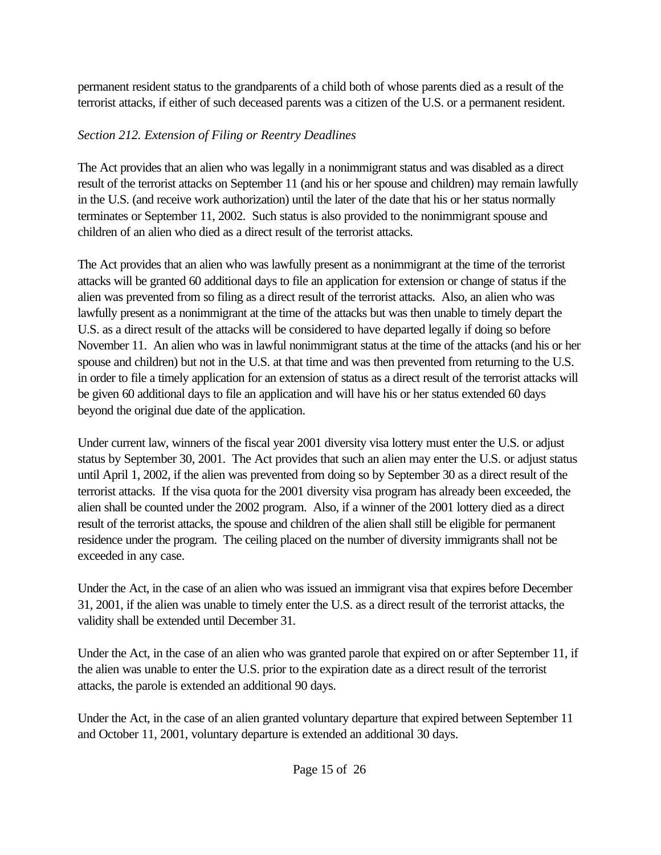permanent resident status to the grandparents of a child both of whose parents died as a result of the terrorist attacks, if either of such deceased parents was a citizen of the U.S. or a permanent resident.

### *Section 212. Extension of Filing or Reentry Deadlines*

The Act provides that an alien who was legally in a nonimmigrant status and was disabled as a direct result of the terrorist attacks on September 11 (and his or her spouse and children) may remain lawfully in the U.S. (and receive work authorization) until the later of the date that his or her status normally terminates or September 11, 2002. Such status is also provided to the nonimmigrant spouse and children of an alien who died as a direct result of the terrorist attacks.

The Act provides that an alien who was lawfully present as a nonimmigrant at the time of the terrorist attacks will be granted 60 additional days to file an application for extension or change of status if the alien was prevented from so filing as a direct result of the terrorist attacks. Also, an alien who was lawfully present as a nonimmigrant at the time of the attacks but was then unable to timely depart the U.S. as a direct result of the attacks will be considered to have departed legally if doing so before November 11. An alien who was in lawful nonimmigrant status at the time of the attacks (and his or her spouse and children) but not in the U.S. at that time and was then prevented from returning to the U.S. in order to file a timely application for an extension of status as a direct result of the terrorist attacks will be given 60 additional days to file an application and will have his or her status extended 60 days beyond the original due date of the application.

Under current law, winners of the fiscal year 2001 diversity visa lottery must enter the U.S. or adjust status by September 30, 2001. The Act provides that such an alien may enter the U.S. or adjust status until April 1, 2002, if the alien was prevented from doing so by September 30 as a direct result of the terrorist attacks. If the visa quota for the 2001 diversity visa program has already been exceeded, the alien shall be counted under the 2002 program. Also, if a winner of the 2001 lottery died as a direct result of the terrorist attacks, the spouse and children of the alien shall still be eligible for permanent residence under the program. The ceiling placed on the number of diversity immigrants shall not be exceeded in any case.

Under the Act, in the case of an alien who was issued an immigrant visa that expires before December 31, 2001, if the alien was unable to timely enter the U.S. as a direct result of the terrorist attacks, the validity shall be extended until December 31.

Under the Act, in the case of an alien who was granted parole that expired on or after September 11, if the alien was unable to enter the U.S. prior to the expiration date as a direct result of the terrorist attacks, the parole is extended an additional 90 days.

Under the Act, in the case of an alien granted voluntary departure that expired between September 11 and October 11, 2001, voluntary departure is extended an additional 30 days.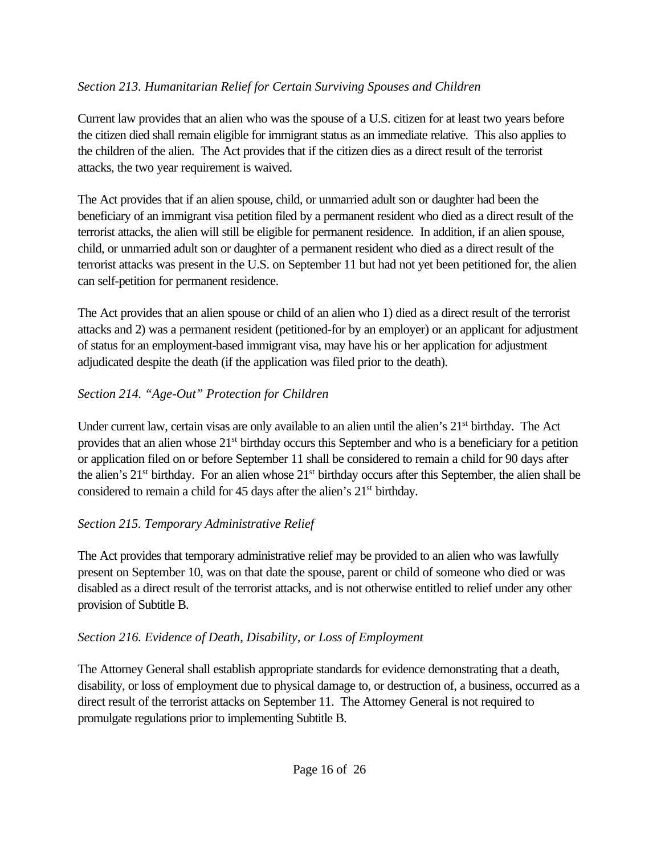### *Section 213. Humanitarian Relief for Certain Surviving Spouses and Children*

Current law provides that an alien who was the spouse of a U.S. citizen for at least two years before the citizen died shall remain eligible for immigrant status as an immediate relative. This also applies to the children of the alien. The Act provides that if the citizen dies as a direct result of the terrorist attacks, the two year requirement is waived.

The Act provides that if an alien spouse, child, or unmarried adult son or daughter had been the beneficiary of an immigrant visa petition filed by a permanent resident who died as a direct result of the terrorist attacks, the alien will still be eligible for permanent residence. In addition, if an alien spouse, child, or unmarried adult son or daughter of a permanent resident who died as a direct result of the terrorist attacks was present in the U.S. on September 11 but had not yet been petitioned for, the alien can self-petition for permanent residence.

The Act provides that an alien spouse or child of an alien who 1) died as a direct result of the terrorist attacks and 2) was a permanent resident (petitioned-for by an employer) or an applicant for adjustment of status for an employment-based immigrant visa, may have his or her application for adjustment adjudicated despite the death (if the application was filed prior to the death).

## *Section 214. "Age-Out" Protection for Children*

Under current law, certain visas are only available to an alien until the alien's 21<sup>st</sup> birthday. The Act provides that an alien whose 21st birthday occurs this September and who is a beneficiary for a petition or application filed on or before September 11 shall be considered to remain a child for 90 days after the alien's 21st birthday. For an alien whose 21st birthday occurs after this September, the alien shall be considered to remain a child for 45 days after the alien's 21<sup>st</sup> birthday.

## *Section 215. Temporary Administrative Relief*

The Act provides that temporary administrative relief may be provided to an alien who was lawfully present on September 10, was on that date the spouse, parent or child of someone who died or was disabled as a direct result of the terrorist attacks, and is not otherwise entitled to relief under any other provision of Subtitle B.

## *Section 216. Evidence of Death, Disability, or Loss of Employment*

The Attorney General shall establish appropriate standards for evidence demonstrating that a death, disability, or loss of employment due to physical damage to, or destruction of, a business, occurred as a direct result of the terrorist attacks on September 11. The Attorney General is not required to promulgate regulations prior to implementing Subtitle B.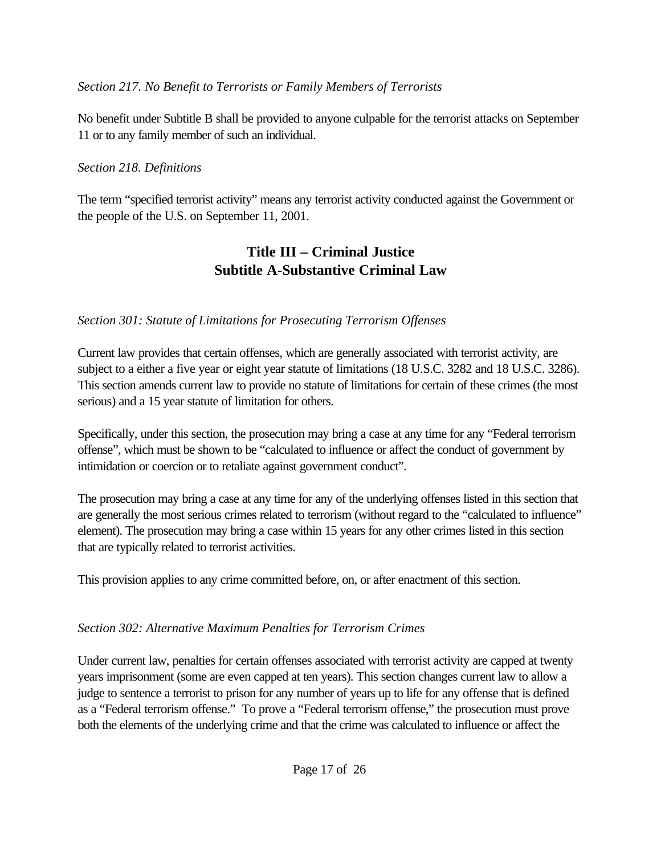### *Section 217. No Benefit to Terrorists or Family Members of Terrorists*

No benefit under Subtitle B shall be provided to anyone culpable for the terrorist attacks on September 11 or to any family member of such an individual.

### *Section 218. Definitions*

The term "specified terrorist activity" means any terrorist activity conducted against the Government or the people of the U.S. on September 11, 2001.

## **Title III – Criminal Justice Subtitle A-Substantive Criminal Law**

### *Section 301: Statute of Limitations for Prosecuting Terrorism Offenses*

Current law provides that certain offenses, which are generally associated with terrorist activity, are subject to a either a five year or eight year statute of limitations (18 U.S.C. 3282 and 18 U.S.C. 3286). This section amends current law to provide no statute of limitations for certain of these crimes (the most serious) and a 15 year statute of limitation for others.

Specifically, under this section, the prosecution may bring a case at any time for any "Federal terrorism offense", which must be shown to be "calculated to influence or affect the conduct of government by intimidation or coercion or to retaliate against government conduct".

The prosecution may bring a case at any time for any of the underlying offenses listed in this section that are generally the most serious crimes related to terrorism (without regard to the "calculated to influence" element). The prosecution may bring a case within 15 years for any other crimes listed in this section that are typically related to terrorist activities.

This provision applies to any crime committed before, on, or after enactment of this section.

### *Section 302: Alternative Maximum Penalties for Terrorism Crimes*

Under current law, penalties for certain offenses associated with terrorist activity are capped at twenty years imprisonment (some are even capped at ten years). This section changes current law to allow a judge to sentence a terrorist to prison for any number of years up to life for any offense that is defined as a "Federal terrorism offense." To prove a "Federal terrorism offense," the prosecution must prove both the elements of the underlying crime and that the crime was calculated to influence or affect the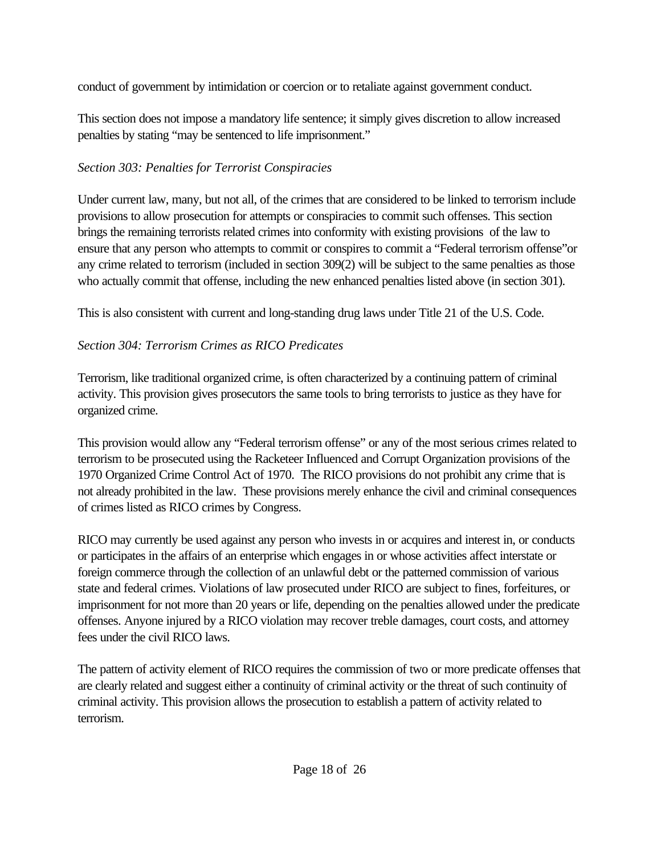conduct of government by intimidation or coercion or to retaliate against government conduct.

This section does not impose a mandatory life sentence; it simply gives discretion to allow increased penalties by stating "may be sentenced to life imprisonment."

## *Section 303: Penalties for Terrorist Conspiracies*

Under current law, many, but not all, of the crimes that are considered to be linked to terrorism include provisions to allow prosecution for attempts or conspiracies to commit such offenses. This section brings the remaining terrorists related crimes into conformity with existing provisions of the law to ensure that any person who attempts to commit or conspires to commit a "Federal terrorism offense"or any crime related to terrorism (included in section 309(2) will be subject to the same penalties as those who actually commit that offense, including the new enhanced penalties listed above (in section 301).

This is also consistent with current and long-standing drug laws under Title 21 of the U.S. Code.

## *Section 304: Terrorism Crimes as RICO Predicates*

Terrorism, like traditional organized crime, is often characterized by a continuing pattern of criminal activity. This provision gives prosecutors the same tools to bring terrorists to justice as they have for organized crime.

This provision would allow any "Federal terrorism offense" or any of the most serious crimes related to terrorism to be prosecuted using the Racketeer Influenced and Corrupt Organization provisions of the 1970 Organized Crime Control Act of 1970. The RICO provisions do not prohibit any crime that is not already prohibited in the law. These provisions merely enhance the civil and criminal consequences of crimes listed as RICO crimes by Congress.

RICO may currently be used against any person who invests in or acquires and interest in, or conducts or participates in the affairs of an enterprise which engages in or whose activities affect interstate or foreign commerce through the collection of an unlawful debt or the patterned commission of various state and federal crimes. Violations of law prosecuted under RICO are subject to fines, forfeitures, or imprisonment for not more than 20 years or life, depending on the penalties allowed under the predicate offenses. Anyone injured by a RICO violation may recover treble damages, court costs, and attorney fees under the civil RICO laws.

The pattern of activity element of RICO requires the commission of two or more predicate offenses that are clearly related and suggest either a continuity of criminal activity or the threat of such continuity of criminal activity. This provision allows the prosecution to establish a pattern of activity related to terrorism.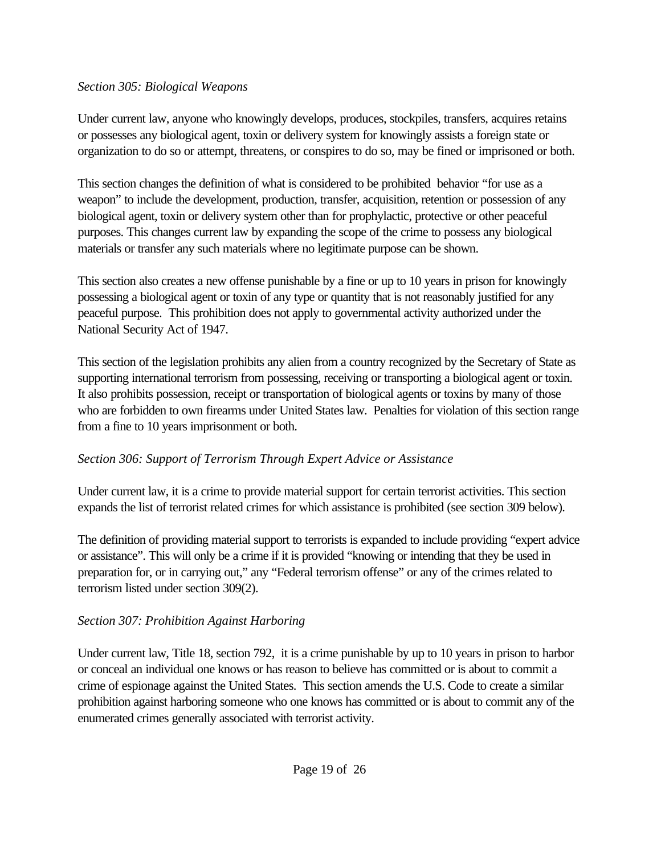#### *Section 305: Biological Weapons*

Under current law, anyone who knowingly develops, produces, stockpiles, transfers, acquires retains or possesses any biological agent, toxin or delivery system for knowingly assists a foreign state or organization to do so or attempt, threatens, or conspires to do so, may be fined or imprisoned or both.

This section changes the definition of what is considered to be prohibited behavior "for use as a weapon" to include the development, production, transfer, acquisition, retention or possession of any biological agent, toxin or delivery system other than for prophylactic, protective or other peaceful purposes. This changes current law by expanding the scope of the crime to possess any biological materials or transfer any such materials where no legitimate purpose can be shown.

This section also creates a new offense punishable by a fine or up to 10 years in prison for knowingly possessing a biological agent or toxin of any type or quantity that is not reasonably justified for any peaceful purpose. This prohibition does not apply to governmental activity authorized under the National Security Act of 1947.

This section of the legislation prohibits any alien from a country recognized by the Secretary of State as supporting international terrorism from possessing, receiving or transporting a biological agent or toxin. It also prohibits possession, receipt or transportation of biological agents or toxins by many of those who are forbidden to own firearms under United States law. Penalties for violation of this section range from a fine to 10 years imprisonment or both.

## *Section 306: Support of Terrorism Through Expert Advice or Assistance*

Under current law, it is a crime to provide material support for certain terrorist activities. This section expands the list of terrorist related crimes for which assistance is prohibited (see section 309 below).

The definition of providing material support to terrorists is expanded to include providing "expert advice or assistance". This will only be a crime if it is provided "knowing or intending that they be used in preparation for, or in carrying out," any "Federal terrorism offense" or any of the crimes related to terrorism listed under section 309(2).

## *Section 307: Prohibition Against Harboring*

Under current law, Title 18, section 792, it is a crime punishable by up to 10 years in prison to harbor or conceal an individual one knows or has reason to believe has committed or is about to commit a crime of espionage against the United States. This section amends the U.S. Code to create a similar prohibition against harboring someone who one knows has committed or is about to commit any of the enumerated crimes generally associated with terrorist activity.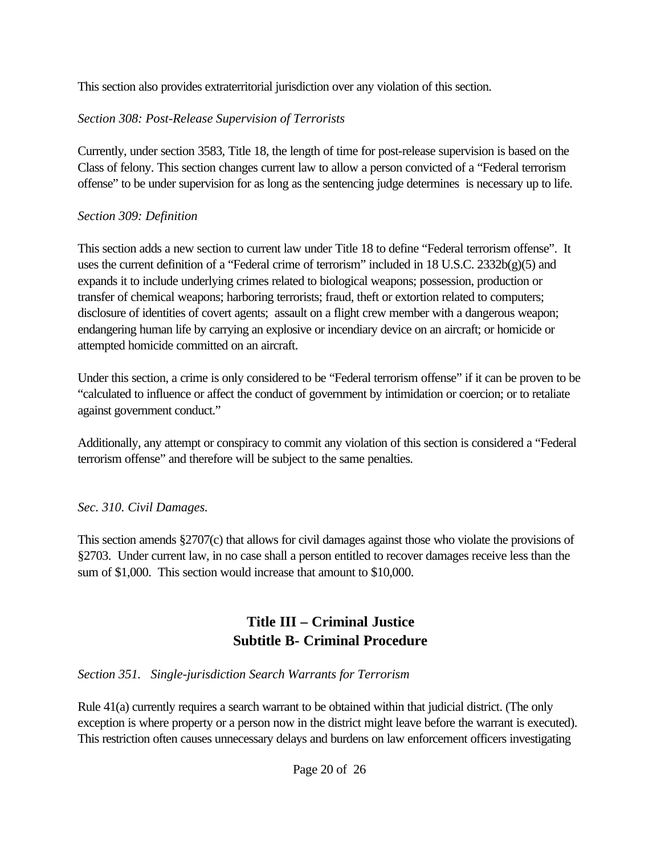This section also provides extraterritorial jurisdiction over any violation of this section.

### *Section 308: Post-Release Supervision of Terrorists*

Currently, under section 3583, Title 18, the length of time for post-release supervision is based on the Class of felony. This section changes current law to allow a person convicted of a "Federal terrorism offense" to be under supervision for as long as the sentencing judge determines is necessary up to life.

### *Section 309: Definition*

This section adds a new section to current law under Title 18 to define "Federal terrorism offense". It uses the current definition of a "Federal crime of terrorism" included in 18 U.S.C. 2332b(g)(5) and expands it to include underlying crimes related to biological weapons; possession, production or transfer of chemical weapons; harboring terrorists; fraud, theft or extortion related to computers; disclosure of identities of covert agents; assault on a flight crew member with a dangerous weapon; endangering human life by carrying an explosive or incendiary device on an aircraft; or homicide or attempted homicide committed on an aircraft.

Under this section, a crime is only considered to be "Federal terrorism offense" if it can be proven to be "calculated to influence or affect the conduct of government by intimidation or coercion; or to retaliate against government conduct."

Additionally, any attempt or conspiracy to commit any violation of this section is considered a "Federal terrorism offense" and therefore will be subject to the same penalties.

## *Sec. 310. Civil Damages.*

This section amends §2707(c) that allows for civil damages against those who violate the provisions of §2703. Under current law, in no case shall a person entitled to recover damages receive less than the sum of \$1,000. This section would increase that amount to \$10,000.

# **Title III – Criminal Justice Subtitle B- Criminal Procedure**

### *Section 351. Single-jurisdiction Search Warrants for Terrorism*

Rule 41(a) currently requires a search warrant to be obtained within that judicial district. (The only exception is where property or a person now in the district might leave before the warrant is executed). This restriction often causes unnecessary delays and burdens on law enforcement officers investigating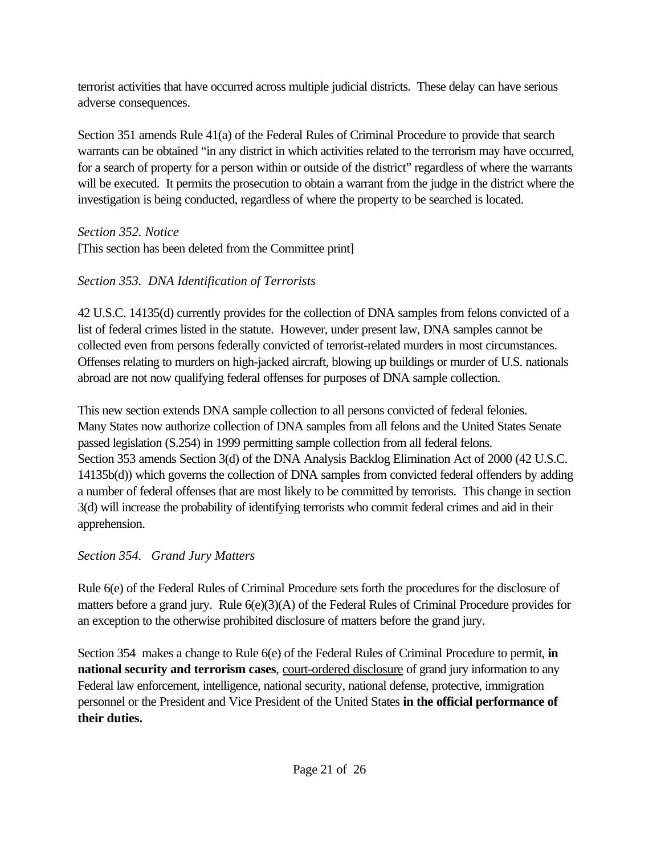terrorist activities that have occurred across multiple judicial districts. These delay can have serious adverse consequences.

Section 351 amends Rule 41(a) of the Federal Rules of Criminal Procedure to provide that search warrants can be obtained "in any district in which activities related to the terrorism may have occurred, for a search of property for a person within or outside of the district" regardless of where the warrants will be executed. It permits the prosecution to obtain a warrant from the judge in the district where the investigation is being conducted, regardless of where the property to be searched is located.

*Section 352. Notice*

[This section has been deleted from the Committee print]

# *Section 353. DNA Identification of Terrorists*

42 U.S.C. 14135(d) currently provides for the collection of DNA samples from felons convicted of a list of federal crimes listed in the statute. However, under present law, DNA samples cannot be collected even from persons federally convicted of terrorist-related murders in most circumstances. Offenses relating to murders on high-jacked aircraft, blowing up buildings or murder of U.S. nationals abroad are not now qualifying federal offenses for purposes of DNA sample collection.

This new section extends DNA sample collection to all persons convicted of federal felonies. Many States now authorize collection of DNA samples from all felons and the United States Senate passed legislation (S.254) in 1999 permitting sample collection from all federal felons. Section 353 amends Section 3(d) of the DNA Analysis Backlog Elimination Act of 2000 (42 U.S.C. 14135b(d)) which governs the collection of DNA samples from convicted federal offenders by adding a number of federal offenses that are most likely to be committed by terrorists. This change in section 3(d) will increase the probability of identifying terrorists who commit federal crimes and aid in their apprehension.

## *Section 354. Grand Jury Matters*

Rule 6(e) of the Federal Rules of Criminal Procedure sets forth the procedures for the disclosure of matters before a grand jury. Rule 6(e)(3)(A) of the Federal Rules of Criminal Procedure provides for an exception to the otherwise prohibited disclosure of matters before the grand jury.

Section 354 makes a change to Rule 6(e) of the Federal Rules of Criminal Procedure to permit, **in national security and terrorism cases**, court-ordered disclosure of grand jury information to any Federal law enforcement, intelligence, national security, national defense, protective, immigration personnel or the President and Vice President of the United States **in the official performance of their duties.**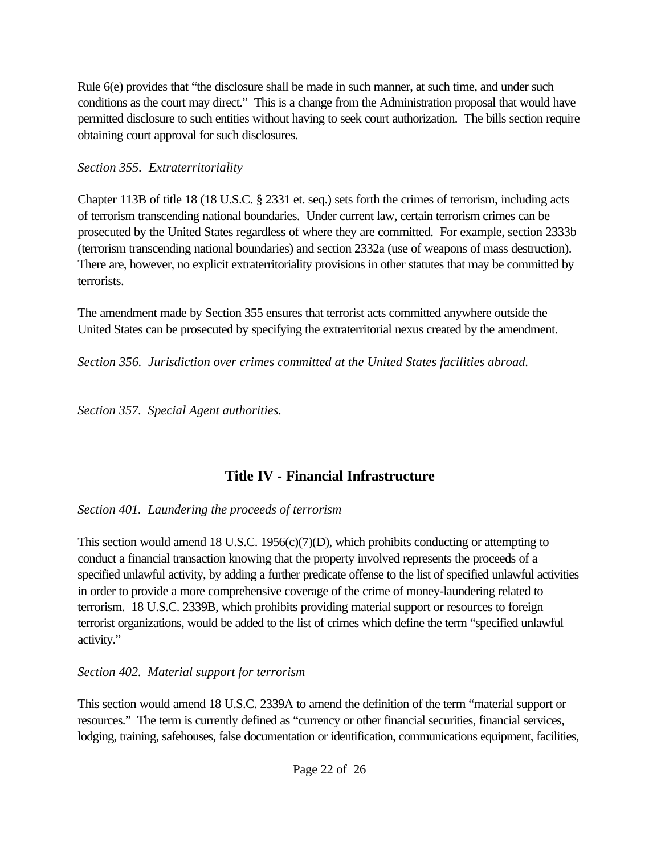Rule 6(e) provides that "the disclosure shall be made in such manner, at such time, and under such conditions as the court may direct." This is a change from the Administration proposal that would have permitted disclosure to such entities without having to seek court authorization. The bills section require obtaining court approval for such disclosures.

### *Section 355. Extraterritoriality*

Chapter 113B of title 18 (18 U.S.C. § 2331 et. seq.) sets forth the crimes of terrorism, including acts of terrorism transcending national boundaries. Under current law, certain terrorism crimes can be prosecuted by the United States regardless of where they are committed. For example, section 2333b (terrorism transcending national boundaries) and section 2332a (use of weapons of mass destruction). There are, however, no explicit extraterritoriality provisions in other statutes that may be committed by terrorists.

The amendment made by Section 355 ensures that terrorist acts committed anywhere outside the United States can be prosecuted by specifying the extraterritorial nexus created by the amendment.

*Section 356. Jurisdiction over crimes committed at the United States facilities abroad.*

*Section 357. Special Agent authorities.*

# **Title IV - Financial Infrastructure**

*Section 401. Laundering the proceeds of terrorism*

This section would amend 18 U.S.C. 1956(c)(7)(D), which prohibits conducting or attempting to conduct a financial transaction knowing that the property involved represents the proceeds of a specified unlawful activity, by adding a further predicate offense to the list of specified unlawful activities in order to provide a more comprehensive coverage of the crime of money-laundering related to terrorism. 18 U.S.C. 2339B, which prohibits providing material support or resources to foreign terrorist organizations, would be added to the list of crimes which define the term "specified unlawful activity."

## *Section 402. Material support for terrorism*

This section would amend 18 U.S.C. 2339A to amend the definition of the term "material support or resources." The term is currently defined as "currency or other financial securities, financial services, lodging, training, safehouses, false documentation or identification, communications equipment, facilities,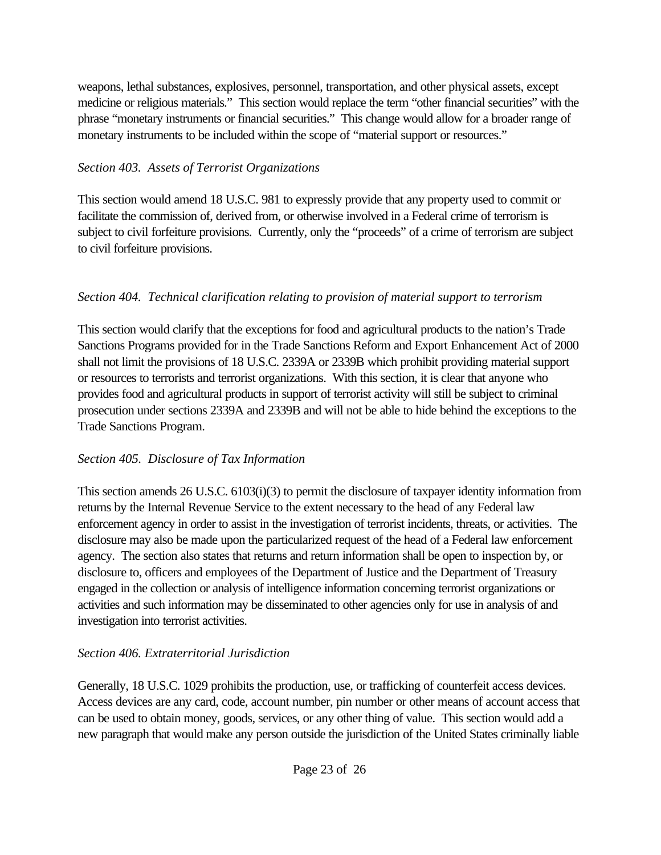weapons, lethal substances, explosives, personnel, transportation, and other physical assets, except medicine or religious materials." This section would replace the term "other financial securities" with the phrase "monetary instruments or financial securities." This change would allow for a broader range of monetary instruments to be included within the scope of "material support or resources."

### *Section 403. Assets of Terrorist Organizations*

This section would amend 18 U.S.C. 981 to expressly provide that any property used to commit or facilitate the commission of, derived from, or otherwise involved in a Federal crime of terrorism is subject to civil forfeiture provisions. Currently, only the "proceeds" of a crime of terrorism are subject to civil forfeiture provisions.

### *Section 404. Technical clarification relating to provision of material support to terrorism*

This section would clarify that the exceptions for food and agricultural products to the nation's Trade Sanctions Programs provided for in the Trade Sanctions Reform and Export Enhancement Act of 2000 shall not limit the provisions of 18 U.S.C. 2339A or 2339B which prohibit providing material support or resources to terrorists and terrorist organizations. With this section, it is clear that anyone who provides food and agricultural products in support of terrorist activity will still be subject to criminal prosecution under sections 2339A and 2339B and will not be able to hide behind the exceptions to the Trade Sanctions Program.

### *Section 405. Disclosure of Tax Information*

This section amends 26 U.S.C. 6103(i)(3) to permit the disclosure of taxpayer identity information from returns by the Internal Revenue Service to the extent necessary to the head of any Federal law enforcement agency in order to assist in the investigation of terrorist incidents, threats, or activities. The disclosure may also be made upon the particularized request of the head of a Federal law enforcement agency. The section also states that returns and return information shall be open to inspection by, or disclosure to, officers and employees of the Department of Justice and the Department of Treasury engaged in the collection or analysis of intelligence information concerning terrorist organizations or activities and such information may be disseminated to other agencies only for use in analysis of and investigation into terrorist activities.

## *Section 406. Extraterritorial Jurisdiction*

Generally, 18 U.S.C. 1029 prohibits the production, use, or trafficking of counterfeit access devices. Access devices are any card, code, account number, pin number or other means of account access that can be used to obtain money, goods, services, or any other thing of value. This section would add a new paragraph that would make any person outside the jurisdiction of the United States criminally liable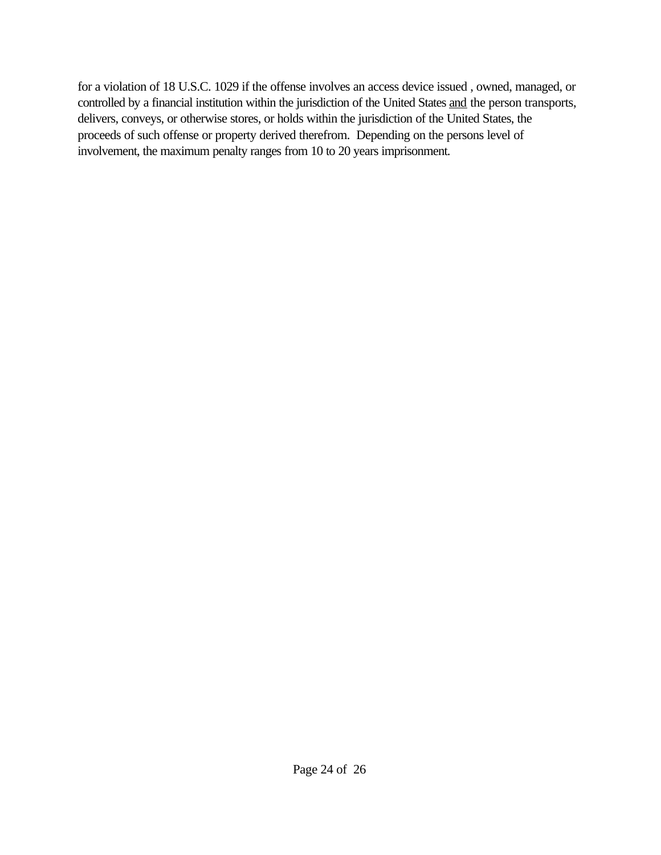for a violation of 18 U.S.C. 1029 if the offense involves an access device issued , owned, managed, or controlled by a financial institution within the jurisdiction of the United States and the person transports, delivers, conveys, or otherwise stores, or holds within the jurisdiction of the United States, the proceeds of such offense or property derived therefrom. Depending on the persons level of involvement, the maximum penalty ranges from 10 to 20 years imprisonment.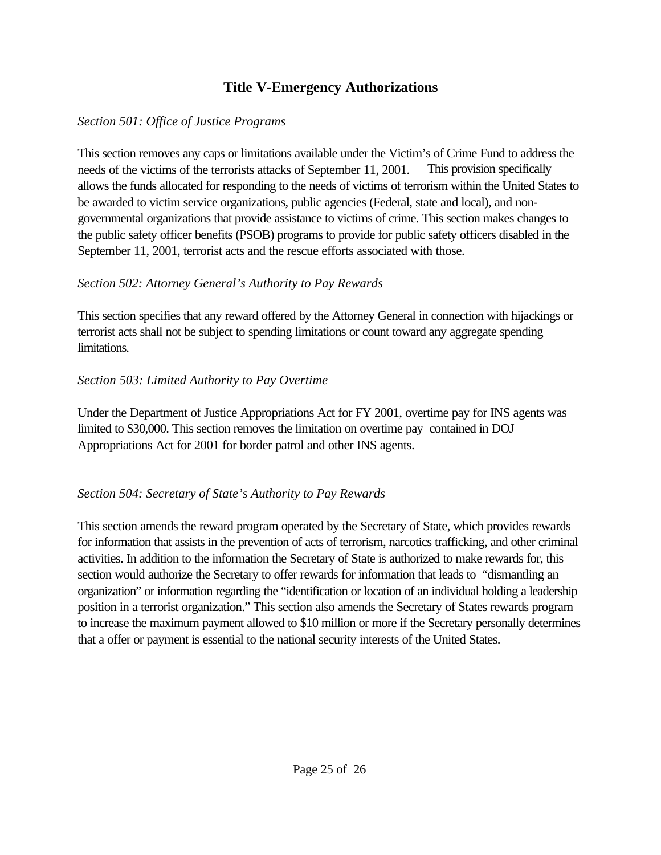## **Title V-Emergency Authorizations**

#### *Section 501: Office of Justice Programs*

This section removes any caps or limitations available under the Victim's of Crime Fund to address the needs of the victims of the terrorists attacks of September 11, 2001. This provision specifically allows the funds allocated for responding to the needs of victims of terrorism within the United States to be awarded to victim service organizations, public agencies (Federal, state and local), and nongovernmental organizations that provide assistance to victims of crime. This section makes changes to the public safety officer benefits (PSOB) programs to provide for public safety officers disabled in the September 11, 2001, terrorist acts and the rescue efforts associated with those.

### *Section 502: Attorney General's Authority to Pay Rewards*

This section specifies that any reward offered by the Attorney General in connection with hijackings or terrorist acts shall not be subject to spending limitations or count toward any aggregate spending limitations.

### *Section 503: Limited Authority to Pay Overtime*

Under the Department of Justice Appropriations Act for FY 2001, overtime pay for INS agents was limited to \$30,000. This section removes the limitation on overtime pay contained in DOJ Appropriations Act for 2001 for border patrol and other INS agents.

### *Section 504: Secretary of State's Authority to Pay Rewards*

This section amends the reward program operated by the Secretary of State, which provides rewards for information that assists in the prevention of acts of terrorism, narcotics trafficking, and other criminal activities. In addition to the information the Secretary of State is authorized to make rewards for, this section would authorize the Secretary to offer rewards for information that leads to "dismantling an organization" or information regarding the "identification or location of an individual holding a leadership position in a terrorist organization." This section also amends the Secretary of States rewards program to increase the maximum payment allowed to \$10 million or more if the Secretary personally determines that a offer or payment is essential to the national security interests of the United States.